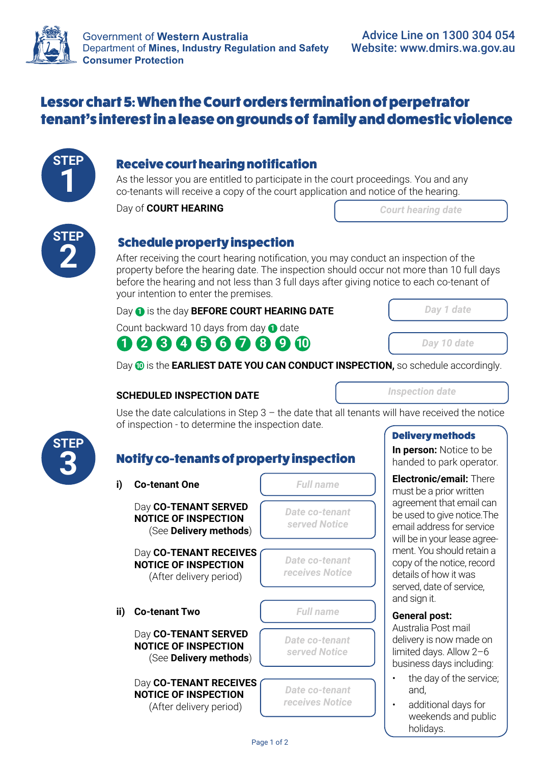

### Lessor chart 5: When the Court orders termination of perpetrator tenant's interest in a lease on grounds of family and domestic violence



### **1** Receive court hearing notification

As the lessor you are entitled to participate in the court proceedings. You and any co-tenants will receive a copy of the court application and notice of the hearing.

Day of **COURT HEARING**

| <b>Court hearing date</b> |  |  |
|---------------------------|--|--|
|                           |  |  |



**2 2 Schedule property inspection**<br>After receiving the court hearing notification property before the hearing date. The insp After receiving the court hearing notification, you may conduct an inspection of the property before the hearing date. The inspection should occur not more than 10 full days before the hearing and not less than 3 full days after giving notice to each co-tenant of your intention to enter the premises.

Day **1** is the day **BEFORE COURT HEARING DATE** 

**1 2 3 4 5 6 7 8 9 10** Count backward 10 days from day **1** date



*Day 10 date*

Day **10** is the **EARLIEST DATE YOU CAN CONDUCT INSPECTION,** so schedule accordingly.

#### **SCHEDULED INSPECTION DATE**

*Inspection date*

Use the date calculations in Step  $3$  – the date that all tenants will have received the notice of inspection - to determine the inspection date.

# **STEP**

## **Notify co-tenants of property inspection<br>**  $\overline{\phantom{a}}$

| i)  | <b>Co-tenant One</b>                                                             | <b>Full name</b>                         |  |
|-----|----------------------------------------------------------------------------------|------------------------------------------|--|
|     | Day CO-TENANT SERVED<br><b>NOTICE OF INSPECTION</b><br>(See Delivery methods)    | <b>Date co-tenant</b><br>served Notice   |  |
|     | Day CO-TENANT RECEIVES<br><b>NOTICE OF INSPECTION</b><br>(After delivery period) | Date co-tenant<br>receives Notice        |  |
| ii) | <b>Co-tenant Two</b>                                                             | <b>Full name</b>                         |  |
|     | Day CO-TENANT SERVED<br><b>NOTICE OF INSPECTION</b><br>(See Delivery methods)    | <b>Date co-tenant</b><br>served Notice   |  |
|     | Day CO-TENANT RECEIVES<br><b>NOTICE OF INSPECTION</b><br>(After delivery period) | <b>Date co-tenant</b><br>receives Notice |  |

### Delivery methods

**In person:** Notice to be handed to park operator.

**Electronic/email:** There must be a prior written agreement that email can be used to give notice.The email address for service will be in your lease agreement. You should retain a copy of the notice, record details of how it was served, date of service, and sign it.

#### **General post:**

Australia Post mail delivery is now made on limited days. Allow 2–6 business days including:

- the day of the service; and,
- additional days for weekends and public holidays.